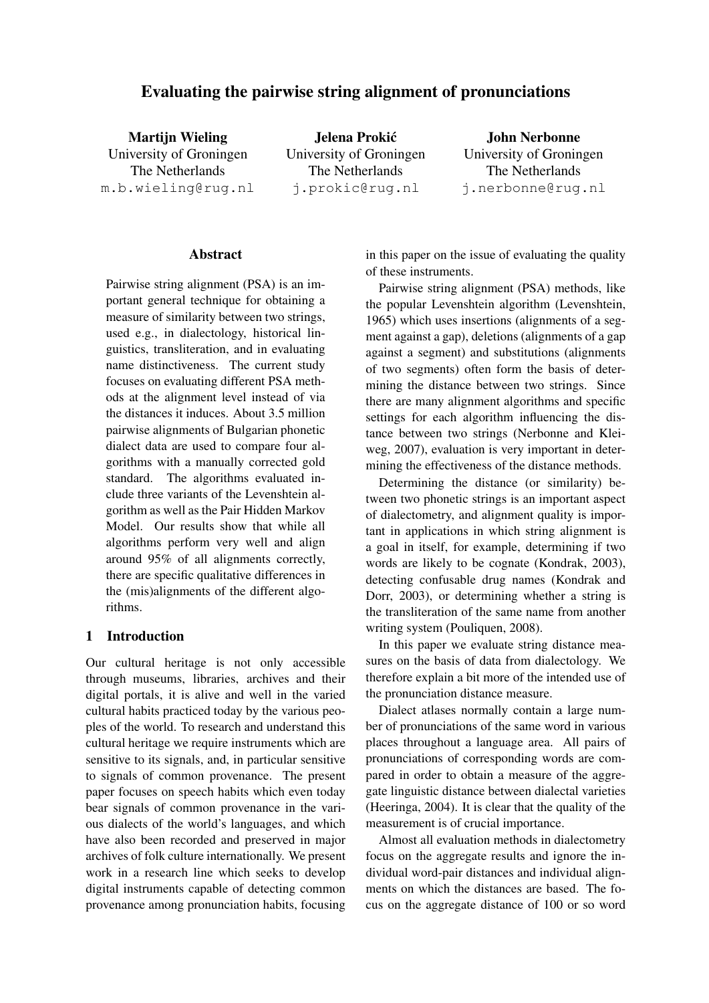# Evaluating the pairwise string alignment of pronunciations

**Martiin Wieling** University of Groningen The Netherlands m.b.wieling@rug.nl

Jelena Prokic´ University of Groningen The Netherlands j.prokic@rug.nl

John Nerbonne University of Groningen The Netherlands j.nerbonne@rug.nl

#### Abstract

Pairwise string alignment (PSA) is an important general technique for obtaining a measure of similarity between two strings, used e.g., in dialectology, historical linguistics, transliteration, and in evaluating name distinctiveness. The current study focuses on evaluating different PSA methods at the alignment level instead of via the distances it induces. About 3.5 million pairwise alignments of Bulgarian phonetic dialect data are used to compare four algorithms with a manually corrected gold standard. The algorithms evaluated include three variants of the Levenshtein algorithm as well as the Pair Hidden Markov Model. Our results show that while all algorithms perform very well and align around 95% of all alignments correctly, there are specific qualitative differences in the (mis)alignments of the different algorithms.

# 1 Introduction

Our cultural heritage is not only accessible through museums, libraries, archives and their digital portals, it is alive and well in the varied cultural habits practiced today by the various peoples of the world. To research and understand this cultural heritage we require instruments which are sensitive to its signals, and, in particular sensitive to signals of common provenance. The present paper focuses on speech habits which even today bear signals of common provenance in the various dialects of the world's languages, and which have also been recorded and preserved in major archives of folk culture internationally. We present work in a research line which seeks to develop digital instruments capable of detecting common provenance among pronunciation habits, focusing in this paper on the issue of evaluating the quality of these instruments.

Pairwise string alignment (PSA) methods, like the popular Levenshtein algorithm (Levenshtein, 1965) which uses insertions (alignments of a segment against a gap), deletions (alignments of a gap against a segment) and substitutions (alignments of two segments) often form the basis of determining the distance between two strings. Since there are many alignment algorithms and specific settings for each algorithm influencing the distance between two strings (Nerbonne and Kleiweg, 2007), evaluation is very important in determining the effectiveness of the distance methods.

Determining the distance (or similarity) between two phonetic strings is an important aspect of dialectometry, and alignment quality is important in applications in which string alignment is a goal in itself, for example, determining if two words are likely to be cognate (Kondrak, 2003), detecting confusable drug names (Kondrak and Dorr, 2003), or determining whether a string is the transliteration of the same name from another writing system (Pouliquen, 2008).

In this paper we evaluate string distance measures on the basis of data from dialectology. We therefore explain a bit more of the intended use of the pronunciation distance measure.

Dialect atlases normally contain a large number of pronunciations of the same word in various places throughout a language area. All pairs of pronunciations of corresponding words are compared in order to obtain a measure of the aggregate linguistic distance between dialectal varieties (Heeringa, 2004). It is clear that the quality of the measurement is of crucial importance.

Almost all evaluation methods in dialectometry focus on the aggregate results and ignore the individual word-pair distances and individual alignments on which the distances are based. The focus on the aggregate distance of 100 or so word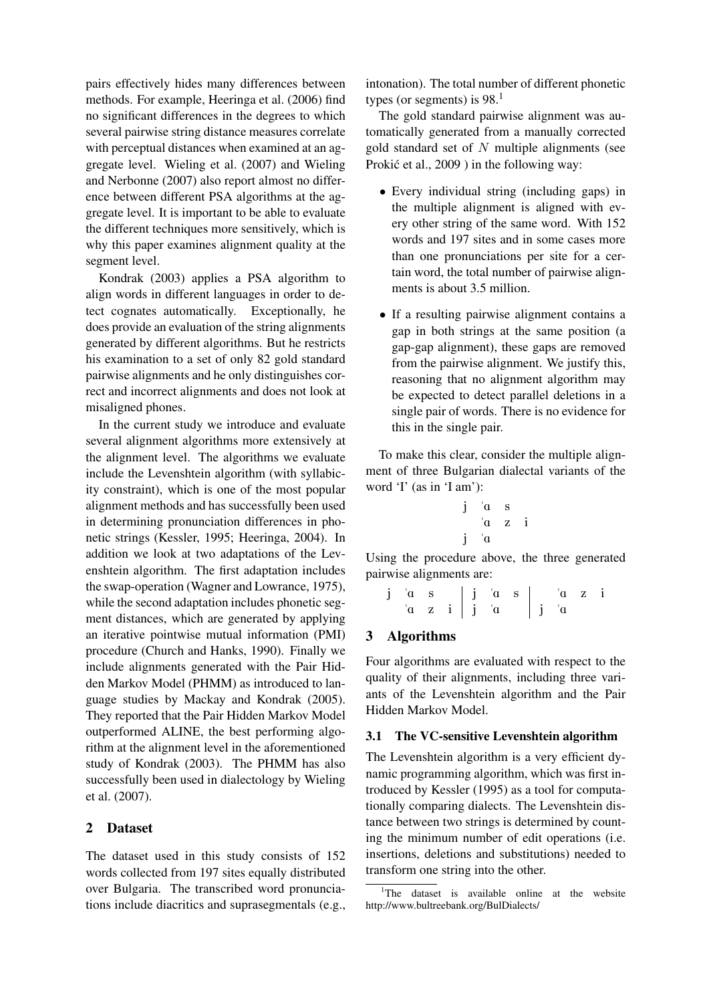pairs effectively hides many differences between methods. For example, Heeringa et al. (2006) find no significant differences in the degrees to which several pairwise string distance measures correlate with perceptual distances when examined at an aggregate level. Wieling et al. (2007) and Wieling and Nerbonne (2007) also report almost no difference between different PSA algorithms at the aggregate level. It is important to be able to evaluate the different techniques more sensitively, which is why this paper examines alignment quality at the segment level.

Kondrak (2003) applies a PSA algorithm to align words in different languages in order to detect cognates automatically. Exceptionally, he does provide an evaluation of the string alignments generated by different algorithms. But he restricts his examination to a set of only 82 gold standard pairwise alignments and he only distinguishes correct and incorrect alignments and does not look at misaligned phones.

In the current study we introduce and evaluate several alignment algorithms more extensively at the alignment level. The algorithms we evaluate include the Levenshtein algorithm (with syllabicity constraint), which is one of the most popular alignment methods and has successfully been used in determining pronunciation differences in phonetic strings (Kessler, 1995; Heeringa, 2004). In addition we look at two adaptations of the Levenshtein algorithm. The first adaptation includes the swap-operation (Wagner and Lowrance, 1975), while the second adaptation includes phonetic segment distances, which are generated by applying an iterative pointwise mutual information (PMI) procedure (Church and Hanks, 1990). Finally we include alignments generated with the Pair Hidden Markov Model (PHMM) as introduced to language studies by Mackay and Kondrak (2005). They reported that the Pair Hidden Markov Model outperformed ALINE, the best performing algorithm at the alignment level in the aforementioned study of Kondrak (2003). The PHMM has also successfully been used in dialectology by Wieling et al. (2007).

### 2 Dataset

The dataset used in this study consists of 152 words collected from 197 sites equally distributed over Bulgaria. The transcribed word pronunciations include diacritics and suprasegmentals (e.g.,

intonation). The total number of different phonetic types (or segments) is  $98<sup>1</sup>$ 

The gold standard pairwise alignment was automatically generated from a manually corrected gold standard set of  $N$  multiple alignments (see Prokić et al., 2009) in the following way:

- Every individual string (including gaps) in the multiple alignment is aligned with every other string of the same word. With 152 words and 197 sites and in some cases more than one pronunciations per site for a certain word, the total number of pairwise alignments is about 3.5 million.
- If a resulting pairwise alignment contains a gap in both strings at the same position (a gap-gap alignment), these gaps are removed from the pairwise alignment. We justify this, reasoning that no alignment algorithm may be expected to detect parallel deletions in a single pair of words. There is no evidence for this in the single pair.

To make this clear, consider the multiple alignment of three Bulgarian dialectal variants of the word 'I' (as in 'I am'):

$$
\begin{array}{ccccc}\nj & \alpha & s \\
 & \alpha & z & i \\
j & \alpha\n\end{array}
$$

Using the procedure above, the three generated pairwise alignments are:

 $\mathbf{j}$  'as  $\mathbf{j}$  'as  $\mathbf{a}$  s  $\mathbf{a}$  'az i  $\alpha$  z i j  $\alpha$  j  $\alpha$ 

# 3 Algorithms

Four algorithms are evaluated with respect to the quality of their alignments, including three variants of the Levenshtein algorithm and the Pair Hidden Markov Model.

# 3.1 The VC-sensitive Levenshtein algorithm

The Levenshtein algorithm is a very efficient dynamic programming algorithm, which was first introduced by Kessler (1995) as a tool for computationally comparing dialects. The Levenshtein distance between two strings is determined by counting the minimum number of edit operations (i.e. insertions, deletions and substitutions) needed to transform one string into the other.

<sup>&</sup>lt;sup>1</sup>The dataset is available online at the website http://www.bultreebank.org/BulDialects/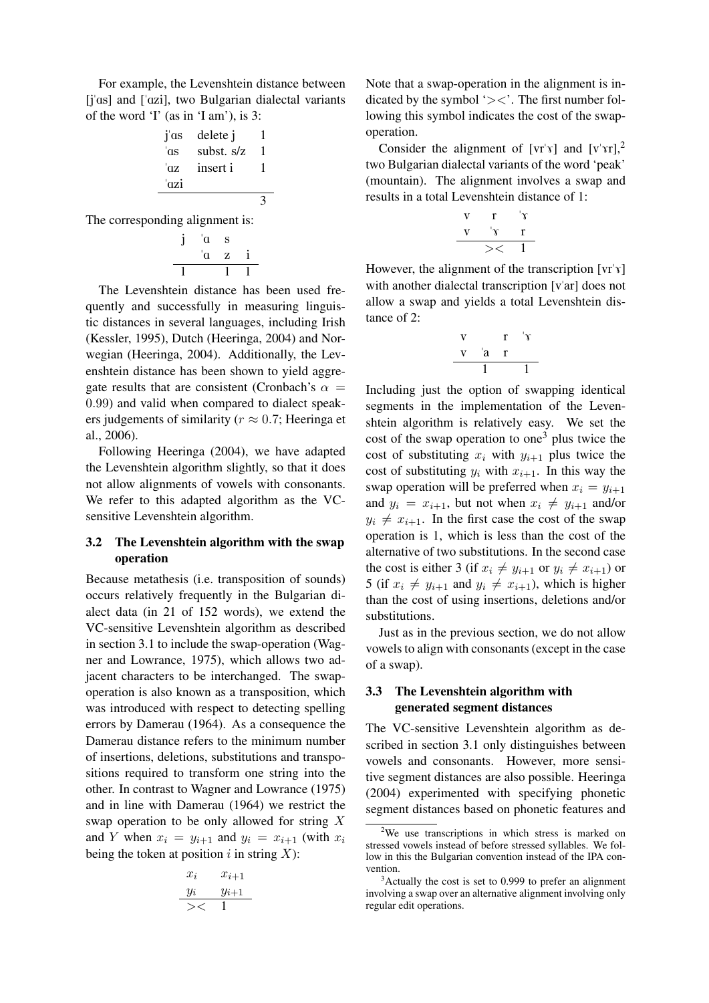For example, the Levenshtein distance between [j'as] and ['azi], two Bulgarian dialectal variants of the word 'I' (as in 'I am'), is 3:

j"As delete j 1 "As subst. s/z 1 "Az insert i 1 "Azi 3

The corresponding alignment is:

$$
\begin{array}{cc}\nj & \alpha & s \\
\alpha & z & i \\
\hline\n1 & 1 & 1\n\end{array}
$$

The Levenshtein distance has been used frequently and successfully in measuring linguistic distances in several languages, including Irish (Kessler, 1995), Dutch (Heeringa, 2004) and Norwegian (Heeringa, 2004). Additionally, the Levenshtein distance has been shown to yield aggregate results that are consistent (Cronbach's  $\alpha$  = 0.99) and valid when compared to dialect speakers judgements of similarity ( $r \approx 0.7$ ; Heeringa et al., 2006).

Following Heeringa (2004), we have adapted the Levenshtein algorithm slightly, so that it does not allow alignments of vowels with consonants. We refer to this adapted algorithm as the VCsensitive Levenshtein algorithm.

# 3.2 The Levenshtein algorithm with the swap operation

Because metathesis (i.e. transposition of sounds) occurs relatively frequently in the Bulgarian dialect data (in 21 of 152 words), we extend the VC-sensitive Levenshtein algorithm as described in section 3.1 to include the swap-operation (Wagner and Lowrance, 1975), which allows two adjacent characters to be interchanged. The swapoperation is also known as a transposition, which was introduced with respect to detecting spelling errors by Damerau (1964). As a consequence the Damerau distance refers to the minimum number of insertions, deletions, substitutions and transpositions required to transform one string into the other. In contrast to Wagner and Lowrance (1975) and in line with Damerau (1964) we restrict the swap operation to be only allowed for string X and Y when  $x_i = y_{i+1}$  and  $y_i = x_{i+1}$  (with  $x_i$ ) being the token at position  $i$  in string  $X$ ):

$$
x_i \t x_{i+1}
$$
  

$$
y_i \t y_{i+1}
$$
  

$$
x_{i+1}
$$

Note that a swap-operation in the alignment is indicated by the symbol  $\leq$ . The first number following this symbol indicates the cost of the swapoperation.

Consider the alignment of  $[v\bar{r}y]$  and  $[v\bar{r}x]$ ,<sup>2</sup> two Bulgarian dialectal variants of the word 'peak' (mountain). The alignment involves a swap and results in a total Levenshtein distance of 1:

v r "7 v "7 r >< 1

However, the alignment of the transcription  $[\n\pi^{\prime} \gamma]$ with another dialectal transcription [v'ar] does not allow a swap and yields a total Levenshtein distance of 2:

$$
\begin{array}{c|cc}\n v & r & \uparrow \hat{v} \\
\hline\n v & a & r \\
\hline\n & 1 & 1\n\end{array}
$$

Including just the option of swapping identical segments in the implementation of the Levenshtein algorithm is relatively easy. We set the cost of the swap operation to one<sup>3</sup> plus twice the cost of substituting  $x_i$  with  $y_{i+1}$  plus twice the cost of substituting  $y_i$  with  $x_{i+1}$ . In this way the swap operation will be preferred when  $x_i = y_{i+1}$ and  $y_i = x_{i+1}$ , but not when  $x_i \neq y_{i+1}$  and/or  $y_i \neq x_{i+1}$ . In the first case the cost of the swap operation is 1, which is less than the cost of the alternative of two substitutions. In the second case the cost is either 3 (if  $x_i \neq y_{i+1}$  or  $y_i \neq x_{i+1}$ ) or 5 (if  $x_i \neq y_{i+1}$  and  $y_i \neq x_{i+1}$ ), which is higher than the cost of using insertions, deletions and/or substitutions.

Just as in the previous section, we do not allow vowels to align with consonants (except in the case of a swap).

### 3.3 The Levenshtein algorithm with generated segment distances

The VC-sensitive Levenshtein algorithm as described in section 3.1 only distinguishes between vowels and consonants. However, more sensitive segment distances are also possible. Heeringa (2004) experimented with specifying phonetic segment distances based on phonetic features and

<sup>&</sup>lt;sup>2</sup>We use transcriptions in which stress is marked on stressed vowels instead of before stressed syllables. We follow in this the Bulgarian convention instead of the IPA convention.

 $3$ Actually the cost is set to 0.999 to prefer an alignment involving a swap over an alternative alignment involving only regular edit operations.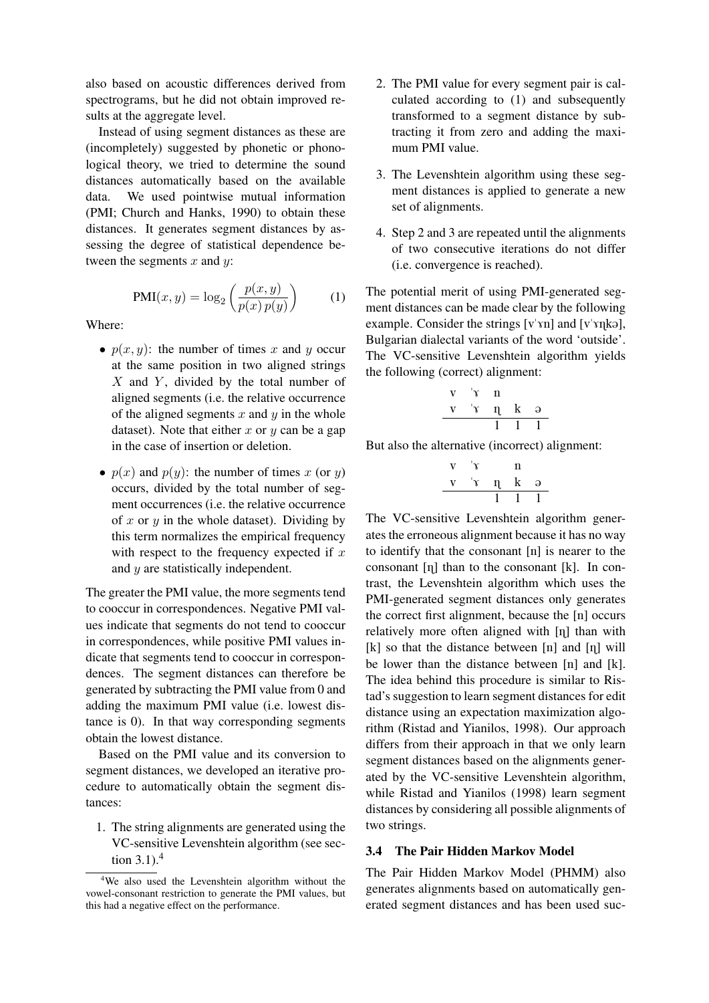also based on acoustic differences derived from spectrograms, but he did not obtain improved results at the aggregate level.

Instead of using segment distances as these are (incompletely) suggested by phonetic or phonological theory, we tried to determine the sound distances automatically based on the available data. We used pointwise mutual information (PMI; Church and Hanks, 1990) to obtain these distances. It generates segment distances by assessing the degree of statistical dependence between the segments  $x$  and  $y$ :

$$
PMI(x, y) = \log_2\left(\frac{p(x, y)}{p(x)\,p(y)}\right) \tag{1}
$$

Where:

- $p(x, y)$ : the number of times x and y occur at the same position in two aligned strings  $X$  and  $Y$ , divided by the total number of aligned segments (i.e. the relative occurrence of the aligned segments  $x$  and  $y$  in the whole dataset). Note that either x or y can be a gap in the case of insertion or deletion.
- $p(x)$  and  $p(y)$ : the number of times x (or y) occurs, divided by the total number of segment occurrences (i.e. the relative occurrence of x or  $y$  in the whole dataset). Dividing by this term normalizes the empirical frequency with respect to the frequency expected if  $x$ and y are statistically independent.

The greater the PMI value, the more segments tend to cooccur in correspondences. Negative PMI values indicate that segments do not tend to cooccur in correspondences, while positive PMI values indicate that segments tend to cooccur in correspondences. The segment distances can therefore be generated by subtracting the PMI value from 0 and adding the maximum PMI value (i.e. lowest distance is 0). In that way corresponding segments obtain the lowest distance.

Based on the PMI value and its conversion to segment distances, we developed an iterative procedure to automatically obtain the segment distances:

1. The string alignments are generated using the VC-sensitive Levenshtein algorithm (see section  $3.1$ ).<sup>4</sup>

- 2. The PMI value for every segment pair is calculated according to (1) and subsequently transformed to a segment distance by subtracting it from zero and adding the maximum PMI value.
- 3. The Levenshtein algorithm using these segment distances is applied to generate a new set of alignments.
- 4. Step 2 and 3 are repeated until the alignments of two consecutive iterations do not differ (i.e. convergence is reached).

The potential merit of using PMI-generated segment distances can be made clear by the following example. Consider the strings  $[v'yn]$  and  $[v'ynk$ . Bulgarian dialectal variants of the word 'outside'. The VC-sensitive Levenshtein algorithm yields the following (correct) alignment:

$$
\begin{array}{c c c c c c c} \text{v} & \text{'y} & \text{n} \\ \text{v} & \text{'y} & \text{n} & \text{k} & \text{o} \\ \hline & 1 & 1 & 1 \\ \end{array}
$$

But also the alternative (incorrect) alignment:

L.

$$
\begin{array}{ccccc}\n\text{v} & \text{'y} & \text{n} \\
\text{v} & \text{'y} & \text{n} & \text{k} & \text{a} \\
\hline\n & & 1 & 1 & 1\n\end{array}
$$

The VC-sensitive Levenshtein algorithm generates the erroneous alignment because it has no way to identify that the consonant [n] is nearer to the consonant  $[\eta]$  than to the consonant  $[k]$ . In contrast, the Levenshtein algorithm which uses the PMI-generated segment distances only generates the correct first alignment, because the [n] occurs relatively more often aligned with  $[\eta]$  than with  $[k]$  so that the distance between  $[n]$  and  $[n]$  will be lower than the distance between [n] and [k]. The idea behind this procedure is similar to Ristad's suggestion to learn segment distances for edit distance using an expectation maximization algorithm (Ristad and Yianilos, 1998). Our approach differs from their approach in that we only learn segment distances based on the alignments generated by the VC-sensitive Levenshtein algorithm, while Ristad and Yianilos (1998) learn segment distances by considering all possible alignments of two strings.

## 3.4 The Pair Hidden Markov Model

The Pair Hidden Markov Model (PHMM) also generates alignments based on automatically generated segment distances and has been used suc-

<sup>4</sup>We also used the Levenshtein algorithm without the vowel-consonant restriction to generate the PMI values, but this had a negative effect on the performance.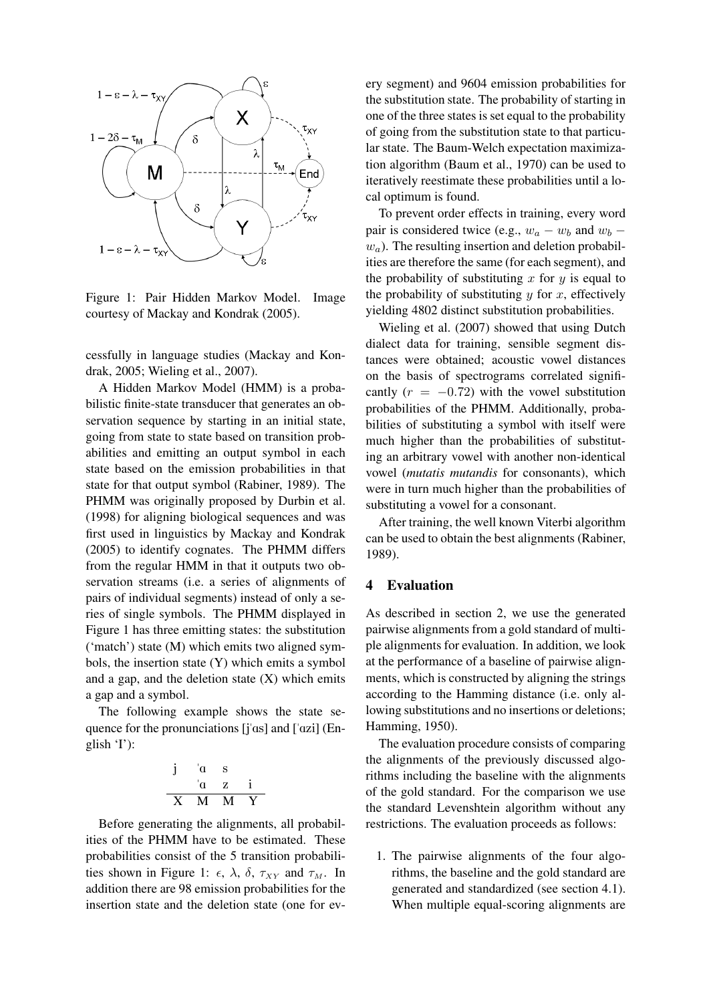

Figure 1: Pair Hidden Markov Model. Image courtesy of Mackay and Kondrak (2005).

cessfully in language studies (Mackay and Kondrak, 2005; Wieling et al., 2007).

A Hidden Markov Model (HMM) is a probabilistic finite-state transducer that generates an observation sequence by starting in an initial state, going from state to state based on transition probabilities and emitting an output symbol in each state based on the emission probabilities in that state for that output symbol (Rabiner, 1989). The PHMM was originally proposed by Durbin et al. (1998) for aligning biological sequences and was first used in linguistics by Mackay and Kondrak (2005) to identify cognates. The PHMM differs from the regular HMM in that it outputs two observation streams (i.e. a series of alignments of pairs of individual segments) instead of only a series of single symbols. The PHMM displayed in Figure 1 has three emitting states: the substitution ('match') state (M) which emits two aligned symbols, the insertion state (Y) which emits a symbol and a gap, and the deletion state  $(X)$  which emits a gap and a symbol.

The following example shows the state sequence for the pronunciations  $[i'as]$  and  $[i'azi]$  (English  $T$ :

$$
\begin{array}{ccccc}\nj & \alpha & s \\
 & \alpha & z & i \\
\hline X & M & M & Y\n\end{array}
$$

Before generating the alignments, all probabilities of the PHMM have to be estimated. These probabilities consist of the 5 transition probabilities shown in Figure 1:  $\epsilon$ ,  $\lambda$ ,  $\delta$ ,  $\tau_{XY}$  and  $\tau_M$ . In addition there are 98 emission probabilities for the insertion state and the deletion state (one for every segment) and 9604 emission probabilities for the substitution state. The probability of starting in one of the three states is set equal to the probability of going from the substitution state to that particular state. The Baum-Welch expectation maximization algorithm (Baum et al., 1970) can be used to iteratively reestimate these probabilities until a local optimum is found.

To prevent order effects in training, every word pair is considered twice (e.g.,  $w_a - w_b$  and  $w_b$  –  $w_a$ ). The resulting insertion and deletion probabilities are therefore the same (for each segment), and the probability of substituting  $x$  for  $y$  is equal to the probability of substituting  $y$  for  $x$ , effectively yielding 4802 distinct substitution probabilities.

Wieling et al. (2007) showed that using Dutch dialect data for training, sensible segment distances were obtained; acoustic vowel distances on the basis of spectrograms correlated significantly  $(r = -0.72)$  with the vowel substitution probabilities of the PHMM. Additionally, probabilities of substituting a symbol with itself were much higher than the probabilities of substituting an arbitrary vowel with another non-identical vowel (*mutatis mutandis* for consonants), which were in turn much higher than the probabilities of substituting a vowel for a consonant.

After training, the well known Viterbi algorithm can be used to obtain the best alignments (Rabiner, 1989).

#### 4 Evaluation

As described in section 2, we use the generated pairwise alignments from a gold standard of multiple alignments for evaluation. In addition, we look at the performance of a baseline of pairwise alignments, which is constructed by aligning the strings according to the Hamming distance (i.e. only allowing substitutions and no insertions or deletions; Hamming, 1950).

The evaluation procedure consists of comparing the alignments of the previously discussed algorithms including the baseline with the alignments of the gold standard. For the comparison we use the standard Levenshtein algorithm without any restrictions. The evaluation proceeds as follows:

1. The pairwise alignments of the four algorithms, the baseline and the gold standard are generated and standardized (see section 4.1). When multiple equal-scoring alignments are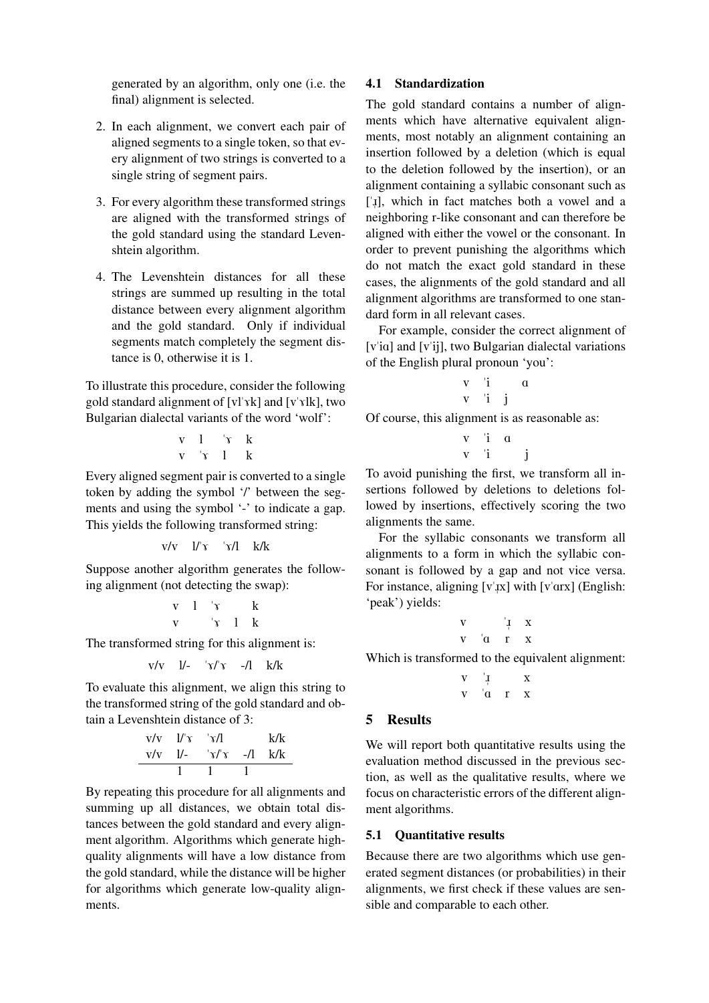generated by an algorithm, only one (i.e. the final) alignment is selected.

- 2. In each alignment, we convert each pair of aligned segments to a single token, so that every alignment of two strings is converted to a single string of segment pairs.
- 3. For every algorithm these transformed strings are aligned with the transformed strings of the gold standard using the standard Levenshtein algorithm.
- 4. The Levenshtein distances for all these strings are summed up resulting in the total distance between every alignment algorithm and the gold standard. Only if individual segments match completely the segment distance is 0, otherwise it is 1.

To illustrate this procedure, consider the following gold standard alignment of  $[v]' \hat{k}$  and  $[v' \hat{v}]k$ , two Bulgarian dialectal variants of the word 'wolf':

$$
\begin{array}{ccc}\nv & 1 & 'y & k \\
v & 'x & 1 & k\n\end{array}
$$

Every aligned segment pair is converted to a single token by adding the symbol '/' between the segments and using the symbol '-' to indicate a gap. This yields the following transformed string:

$$
v/v=1/\gamma= \gamma/1 = k/k
$$

Suppose another algorithm generates the following alignment (not detecting the swap):

$$
\begin{array}{ccc}\mathbf{v} & 1 & \text{'}\mathbf{v} & \text{ } & \mathbf{k} \\ \mathbf{v} & & \text{'}\mathbf{v} & 1 & \mathbf{k}\end{array}
$$

The transformed string for this alignment is:

$$
v/v \quad l/- \quad \forall r' \quad -/l \quad k/k
$$

To evaluate this alignment, we align this string to the transformed string of the gold standard and obtain a Levenshtein distance of 3:

$$
\begin{array}{c|cc}\n\text{v/v} & l/\text{v} & \text{v/l} & k/k \\
\hline\n\text{v/v} & l/- & \text{v/v} & -/1 & k/k \\
\hline\n1 & 1 & 1 & \\
\end{array}
$$

By repeating this procedure for all alignments and summing up all distances, we obtain total distances between the gold standard and every alignment algorithm. Algorithms which generate highquality alignments will have a low distance from the gold standard, while the distance will be higher for algorithms which generate low-quality alignments.

#### 4.1 Standardization

The gold standard contains a number of alignments which have alternative equivalent alignments, most notably an alignment containing an insertion followed by a deletion (which is equal to the deletion followed by the insertion), or an alignment containing a syllabic consonant such as ['1], which in fact matches both a vowel and a " neighboring r-like consonant and can therefore be aligned with either the vowel or the consonant. In order to prevent punishing the algorithms which do not match the exact gold standard in these cases, the alignments of the gold standard and all alignment algorithms are transformed to one standard form in all relevant cases.

For example, consider the correct alignment of [v'ia] and [v'ij], two Bulgarian dialectal variations of the English plural pronoun 'you':

$$
\begin{array}{ccc}\n v & \text{i} & \text{a} \\
 v & \text{i} & \text{j}\n \end{array}
$$

Of course, this alignment is as reasonable as:

$$
\begin{array}{ccc} v & \text{ } & a \\ v & \text{ } & i \end{array}
$$

To avoid punishing the first, we transform all insertions followed by deletions to deletions followed by insertions, effectively scoring the two alignments the same.

For the syllabic consonants we transform all alignments to a form in which the syllabic consonant is followed by a gap and not vice versa. For instance, aligning  $[v^{\dagger}$ x] with  $[v^{\dagger}$ arx] (English: " 'peak') yields:

$$
\begin{matrix} v & \phantom{-} \mathbf{i} & x \\ v & \phantom{-} \mathbf{a} & r & x \end{matrix}
$$

Which is transformed to the equivalent alignment:

$$
\begin{array}{ccc} v & \phantom{+} \mathop{\downarrow} & & x \\ v & \phantom{+} \mathop{\circ} & & r & x \end{array}
$$

### 5 Results

We will report both quantitative results using the evaluation method discussed in the previous section, as well as the qualitative results, where we focus on characteristic errors of the different alignment algorithms.

### 5.1 Quantitative results

Because there are two algorithms which use generated segment distances (or probabilities) in their alignments, we first check if these values are sensible and comparable to each other.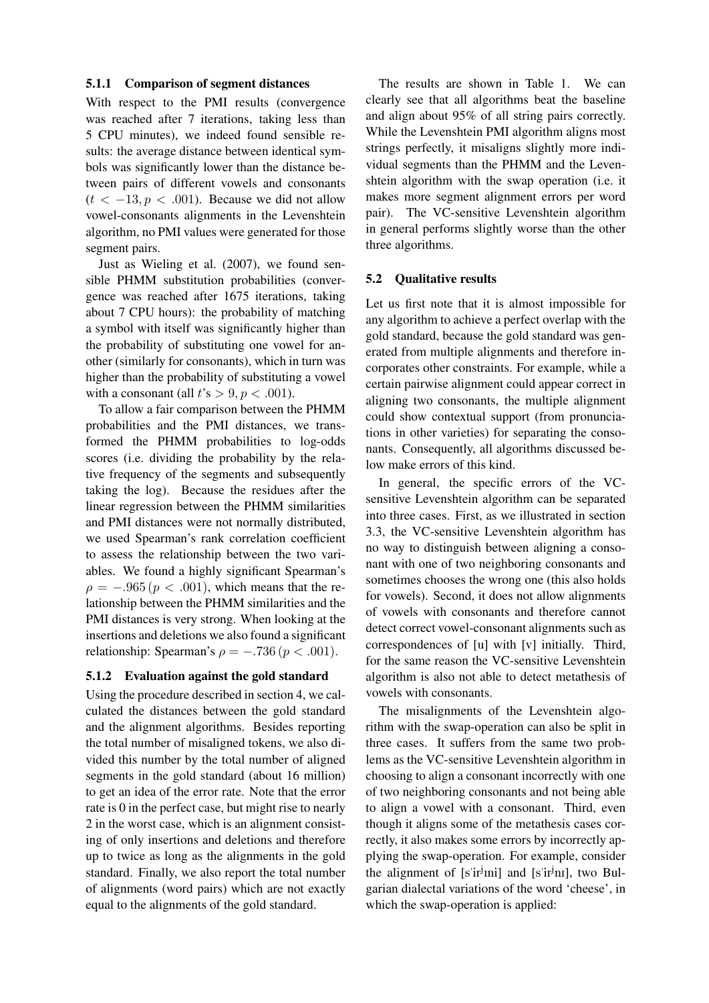#### 5.1.1 Comparison of segment distances

With respect to the PMI results (convergence was reached after 7 iterations, taking less than 5 CPU minutes), we indeed found sensible results: the average distance between identical symbols was significantly lower than the distance between pairs of different vowels and consonants  $(t < -13, p < .001)$ . Because we did not allow vowel-consonants alignments in the Levenshtein algorithm, no PMI values were generated for those segment pairs.

Just as Wieling et al. (2007), we found sensible PHMM substitution probabilities (convergence was reached after 1675 iterations, taking about 7 CPU hours): the probability of matching a symbol with itself was significantly higher than the probability of substituting one vowel for another (similarly for consonants), which in turn was higher than the probability of substituting a vowel with a consonant (all  $t's > 9, p < .001$ ).

To allow a fair comparison between the PHMM probabilities and the PMI distances, we transformed the PHMM probabilities to log-odds scores (i.e. dividing the probability by the relative frequency of the segments and subsequently taking the log). Because the residues after the linear regression between the PHMM similarities and PMI distances were not normally distributed, we used Spearman's rank correlation coefficient to assess the relationship between the two variables. We found a highly significant Spearman's  $\rho = -.965 (p < .001)$ , which means that the relationship between the PHMM similarities and the PMI distances is very strong. When looking at the insertions and deletions we also found a significant relationship: Spearman's  $\rho = -.736 (p < .001)$ .

### 5.1.2 Evaluation against the gold standard

Using the procedure described in section 4, we calculated the distances between the gold standard and the alignment algorithms. Besides reporting the total number of misaligned tokens, we also divided this number by the total number of aligned segments in the gold standard (about 16 million) to get an idea of the error rate. Note that the error rate is 0 in the perfect case, but might rise to nearly 2 in the worst case, which is an alignment consisting of only insertions and deletions and therefore up to twice as long as the alignments in the gold standard. Finally, we also report the total number of alignments (word pairs) which are not exactly equal to the alignments of the gold standard.

The results are shown in Table 1. We can clearly see that all algorithms beat the baseline and align about 95% of all string pairs correctly. While the Levenshtein PMI algorithm aligns most strings perfectly, it misaligns slightly more individual segments than the PHMM and the Levenshtein algorithm with the swap operation (i.e. it makes more segment alignment errors per word pair). The VC-sensitive Levenshtein algorithm in general performs slightly worse than the other three algorithms.

#### 5.2 Qualitative results

Let us first note that it is almost impossible for any algorithm to achieve a perfect overlap with the gold standard, because the gold standard was generated from multiple alignments and therefore incorporates other constraints. For example, while a certain pairwise alignment could appear correct in aligning two consonants, the multiple alignment could show contextual support (from pronunciations in other varieties) for separating the consonants. Consequently, all algorithms discussed below make errors of this kind.

In general, the specific errors of the VCsensitive Levenshtein algorithm can be separated into three cases. First, as we illustrated in section 3.3, the VC-sensitive Levenshtein algorithm has no way to distinguish between aligning a consonant with one of two neighboring consonants and sometimes chooses the wrong one (this also holds for vowels). Second, it does not allow alignments of vowels with consonants and therefore cannot detect correct vowel-consonant alignments such as correspondences of [u] with [v] initially. Third, for the same reason the VC-sensitive Levenshtein algorithm is also not able to detect metathesis of vowels with consonants.

The misalignments of the Levenshtein algorithm with the swap-operation can also be split in three cases. It suffers from the same two problems as the VC-sensitive Levenshtein algorithm in choosing to align a consonant incorrectly with one of two neighboring consonants and not being able to align a vowel with a consonant. Third, even though it aligns some of the metathesis cases correctly, it also makes some errors by incorrectly applying the swap-operation. For example, consider the alignment of [s'ir<sup>j</sup>mi] and [s'ir<sup>j</sup>m], two Bulgarian dialectal variations of the word 'cheese', in which the swap-operation is applied: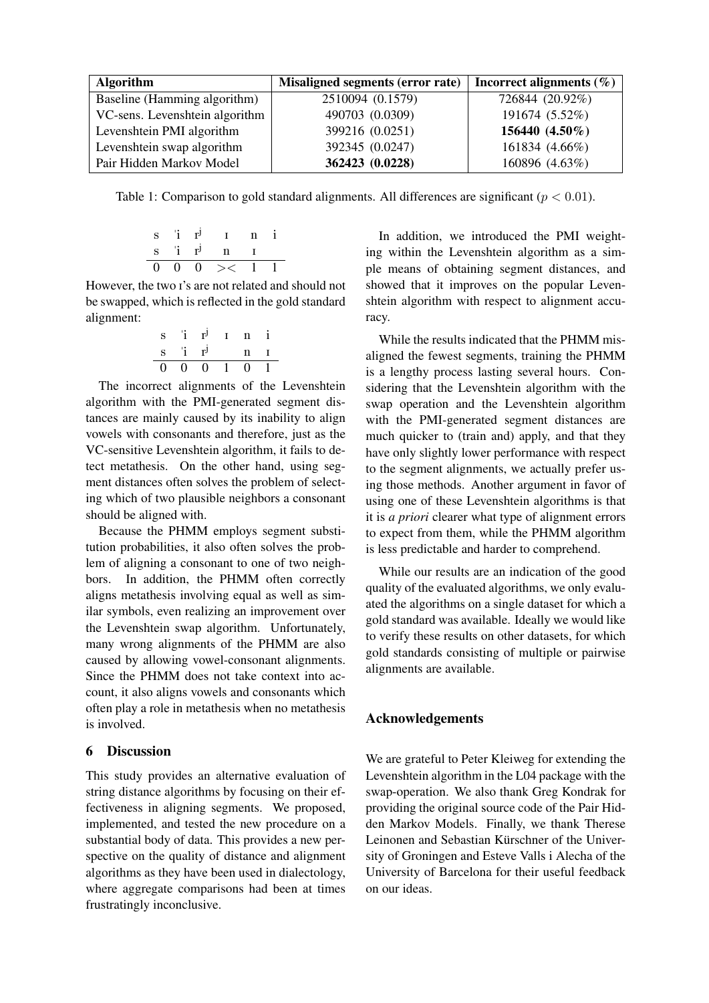| <b>Algorithm</b>               | Misaligned segments (error rate) | Incorrect alignments $(\% )$ |
|--------------------------------|----------------------------------|------------------------------|
| Baseline (Hamming algorithm)   | 2510094 (0.1579)                 | 726844 (20.92%)              |
| VC-sens. Levenshtein algorithm | 490703 (0.0309)                  | 191674 (5.52%)               |
| Levenshtein PMI algorithm      | 399216 (0.0251)                  | 156440 (4.50%)               |
| Levenshtein swap algorithm     | 392345 (0.0247)                  | 161834 (4.66%)               |
| Pair Hidden Markov Model       | 362423 (0.0228)                  | 160896 (4.63%)               |

Table 1: Comparison to gold standard alignments. All differences are significant ( $p < 0.01$ ).

s "i r<sup>j</sup> I n i s "i r<sup>j</sup> n I 0 0 0 >< 1 1

However, the two I's are not related and should not be swapped, which is reflected in the gold standard alignment:

$$
\begin{array}{ccccccccc}\ns & i & r^j & r & n & i \\
s & i & r^j & & n & r \\
\hline\n0 & 0 & 0 & 1 & 0 & 1\n\end{array}
$$

The incorrect alignments of the Levenshtein algorithm with the PMI-generated segment distances are mainly caused by its inability to align vowels with consonants and therefore, just as the VC-sensitive Levenshtein algorithm, it fails to detect metathesis. On the other hand, using segment distances often solves the problem of selecting which of two plausible neighbors a consonant should be aligned with.

Because the PHMM employs segment substitution probabilities, it also often solves the problem of aligning a consonant to one of two neighbors. In addition, the PHMM often correctly aligns metathesis involving equal as well as similar symbols, even realizing an improvement over the Levenshtein swap algorithm. Unfortunately, many wrong alignments of the PHMM are also caused by allowing vowel-consonant alignments. Since the PHMM does not take context into account, it also aligns vowels and consonants which often play a role in metathesis when no metathesis is involved.

# 6 Discussion

This study provides an alternative evaluation of string distance algorithms by focusing on their effectiveness in aligning segments. We proposed, implemented, and tested the new procedure on a substantial body of data. This provides a new perspective on the quality of distance and alignment algorithms as they have been used in dialectology, where aggregate comparisons had been at times frustratingly inconclusive.

In addition, we introduced the PMI weighting within the Levenshtein algorithm as a simple means of obtaining segment distances, and showed that it improves on the popular Levenshtein algorithm with respect to alignment accuracy.

While the results indicated that the PHMM misaligned the fewest segments, training the PHMM is a lengthy process lasting several hours. Considering that the Levenshtein algorithm with the swap operation and the Levenshtein algorithm with the PMI-generated segment distances are much quicker to (train and) apply, and that they have only slightly lower performance with respect to the segment alignments, we actually prefer using those methods. Another argument in favor of using one of these Levenshtein algorithms is that it is *a priori* clearer what type of alignment errors to expect from them, while the PHMM algorithm is less predictable and harder to comprehend.

While our results are an indication of the good quality of the evaluated algorithms, we only evaluated the algorithms on a single dataset for which a gold standard was available. Ideally we would like to verify these results on other datasets, for which gold standards consisting of multiple or pairwise alignments are available.

### Acknowledgements

We are grateful to Peter Kleiweg for extending the Levenshtein algorithm in the L04 package with the swap-operation. We also thank Greg Kondrak for providing the original source code of the Pair Hidden Markov Models. Finally, we thank Therese Leinonen and Sebastian Kürschner of the University of Groningen and Esteve Valls i Alecha of the University of Barcelona for their useful feedback on our ideas.